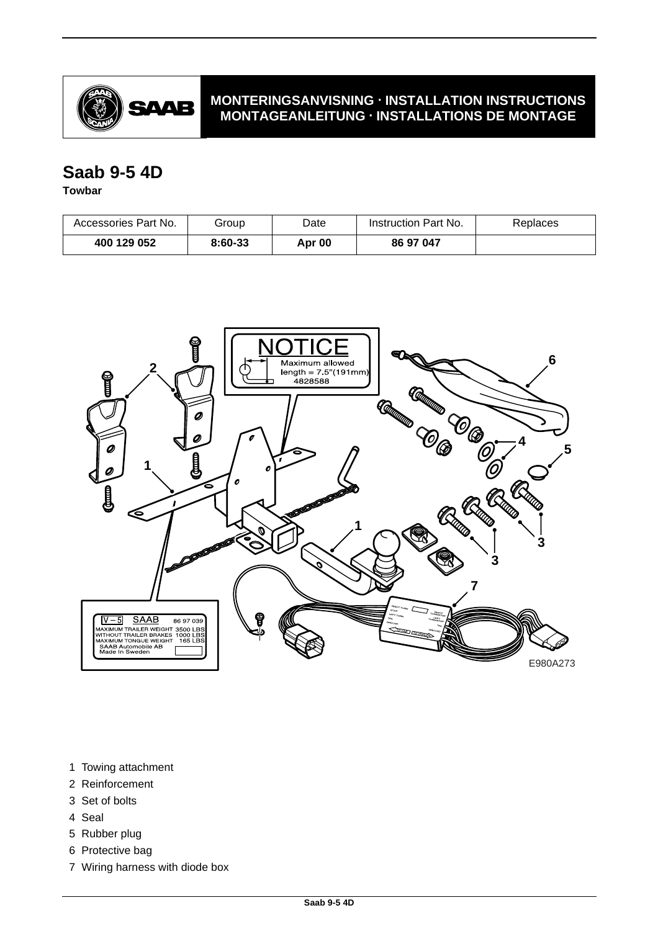

### **MONTERINGSANVISNING · INSTALLATION INSTRUCTIONS MONTAGEANLEITUNG · INSTALLATIONS DE MONTAGE**

# **Saab 9-5 4D**

#### **Towbar**

| Accessories Part No. | Group   | Date   | Instruction Part No. | Replaces |
|----------------------|---------|--------|----------------------|----------|
| 400 129 052          | 8:60-33 | Apr 00 | 86 97 047            |          |



- 1 Towing attachment
- 2 Reinforcement
- 3 Set of bolts
- 4 Seal
- 5 Rubber plug
- 6 Protective bag
- 7 Wiring harness with diode box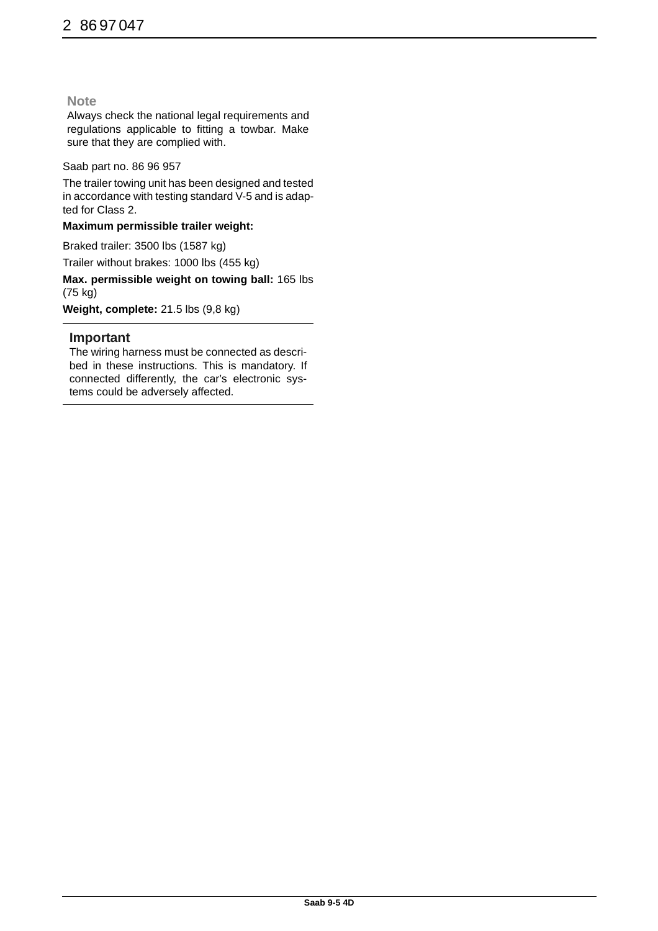#### **Note**

Always check the national legal requirements and regulations applicable to fitting a towbar. Make sure that they are complied with.

#### Saab part no. 86 96 957

The trailer towing unit has been designed and tested in accordance with testing standard V-5 and is adapted for Class 2.

#### **Maximum permissible trailer weight:**

Braked trailer: 3500 lbs (1587 kg) Trailer without brakes: 1000 lbs (455 kg)

**Max. permissible weight on towing ball:** 165 lbs (75 kg)

**Weight, complete:** 21.5 lbs (9,8 kg)

#### **Important**

The wiring harness must be connected as described in these instructions. This is mandatory. If connected differently, the car's electronic systems could be adversely affected.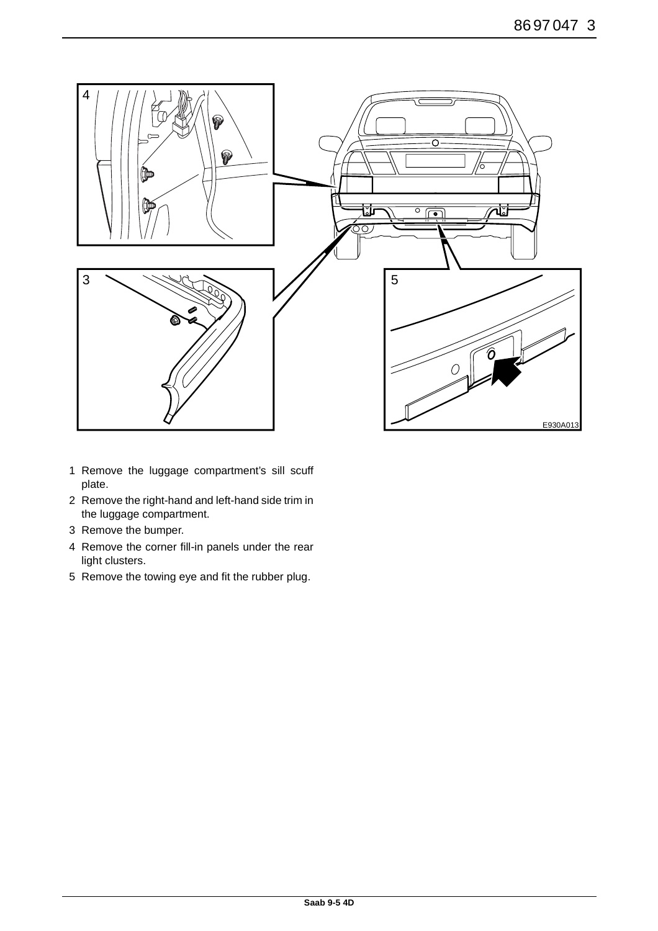

- 1 Remove the luggage compartment's sill scuff plate.
- 2 Remove the right-hand and left-hand side trim in the luggage compartment.
- 3 Remove the bumper.
- 4 Remove the corner fill-in panels under the rear light clusters.
- 5 Remove the towing eye and fit the rubber plug.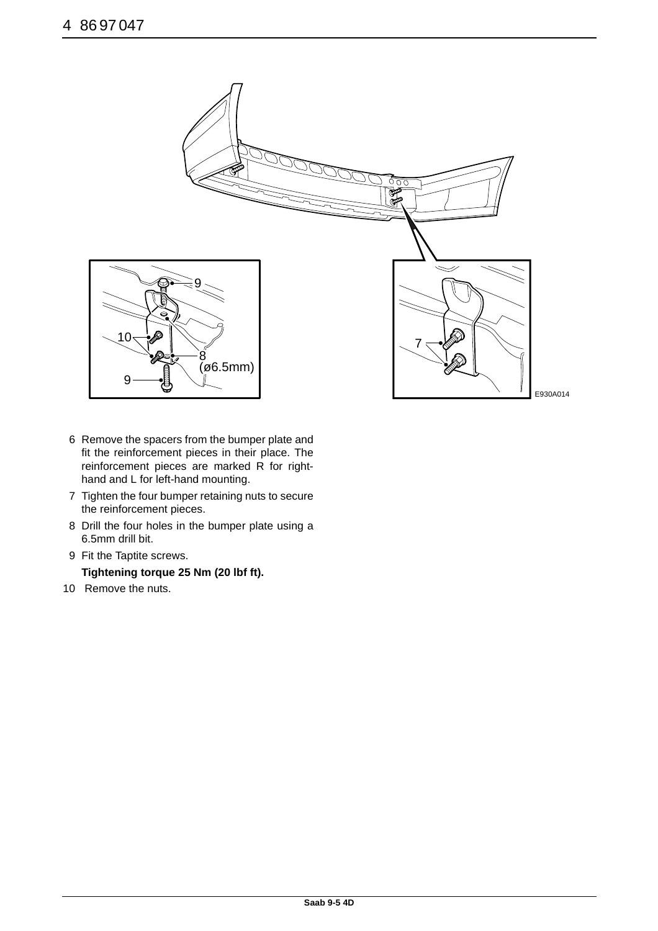

- 6 Remove the spacers from the bumper plate and fit the reinforcement pieces in their place. The reinforcement pieces are marked R for righthand and L for left-hand mounting.
- 7 Tighten the four bumper retaining nuts to secure the reinforcement pieces.
- 8 Drill the four holes in the bumper plate using a 6.5mm drill bit.
- 9 Fit the Taptite screws. **Tightening torque 25 Nm (20 lbf ft).**
- 10 Remove the nuts.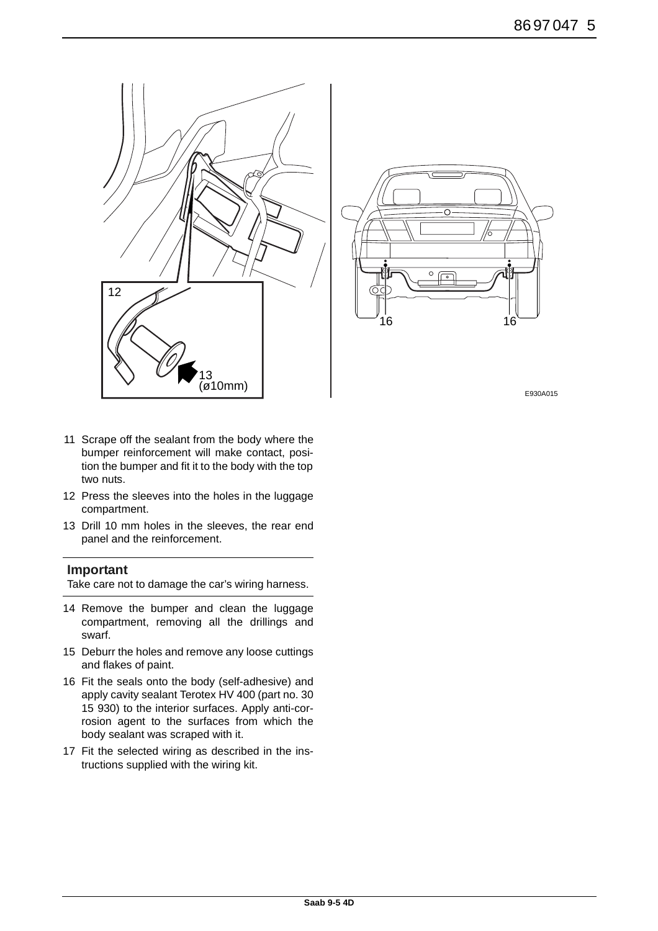



- 11 Scrape off the sealant from the body where the bumper reinforcement will make contact, position the bumper and fit it to the body with the top two nuts.
- 12 Press the sleeves into the holes in the luggage compartment.
- 13 Drill 10 mm holes in the sleeves, the rear end panel and the reinforcement.

#### **Important**

Take care not to damage the car's wiring harness.

- 14 Remove the bumper and clean the luggage compartment, removing all the drillings and swarf.
- 15 Deburr the holes and remove any loose cuttings and flakes of paint.
- 16 Fit the seals onto the body (self-adhesive) and apply cavity sealant Terotex HV 400 (part no. 30 15 930) to the interior surfaces. Apply anti-corrosion agent to the surfaces from which the body sealant was scraped with it.
- 17 Fit the selected wiring as described in the instructions supplied with the wiring kit.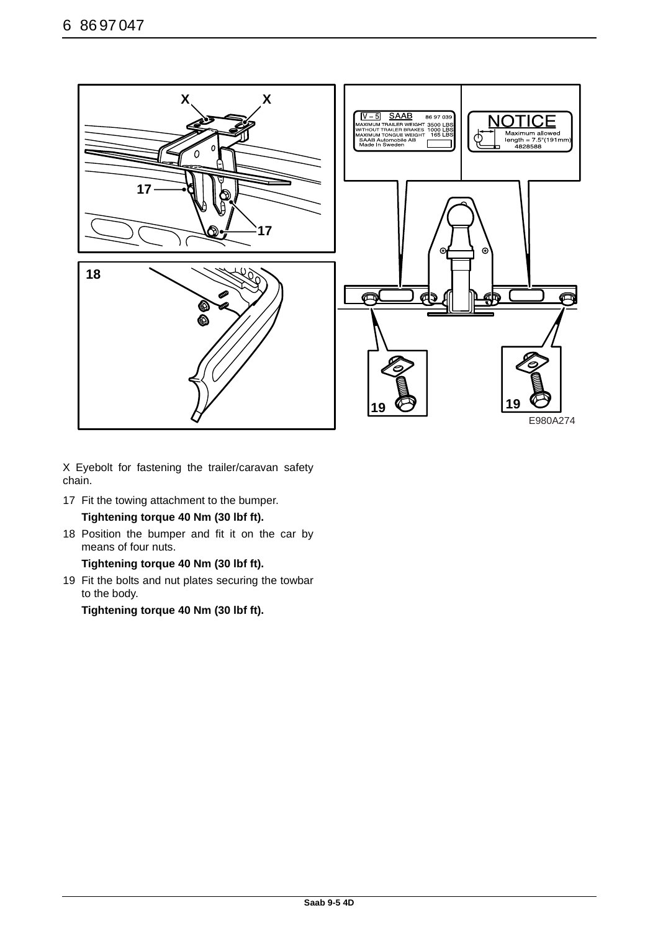

X Eyebolt for fastening the trailer/caravan safety chain.

17 Fit the towing attachment to the bumper.

# **Tightening torque 40 Nm (30 lbf ft).**

18 Position the bumper and fit it on the car by means of four nuts.

**Tightening torque 40 Nm (30 lbf ft).**

19 Fit the bolts and nut plates securing the towbar to the body.

**Tightening torque 40 Nm (30 lbf ft).**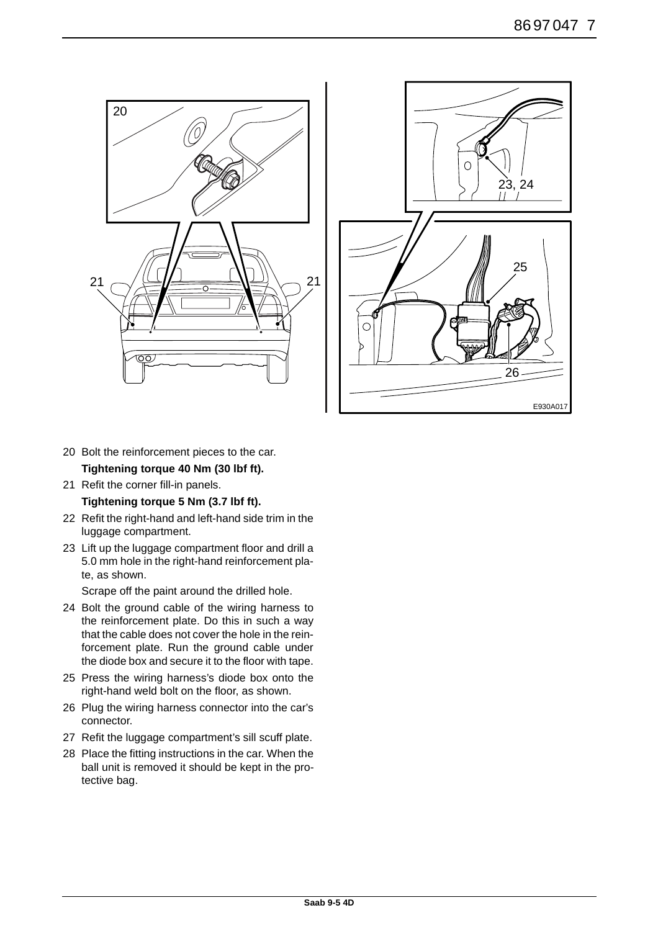



- 20 Bolt the reinforcement pieces to the car. **Tightening torque 40 Nm (30 lbf ft).**
- 21 Refit the corner fill-in panels.

**Tightening torque 5 Nm (3.7 lbf ft).**

- 22 Refit the right-hand and left-hand side trim in the luggage compartment.
- 23 Lift up the luggage compartment floor and drill a 5.0 mm hole in the right-hand reinforcement plate, as shown.

Scrape off the paint around the drilled hole.

- 24 Bolt the ground cable of the wiring harness to the reinforcement plate. Do this in such a way that the cable does not cover the hole in the reinforcement plate. Run the ground cable under the diode box and secure it to the floor with tape.
- 25 Press the wiring harness's diode box onto the right-hand weld bolt on the floor, as shown.
- 26 Plug the wiring harness connector into the car's connector.
- 27 Refit the luggage compartment's sill scuff plate.
- 28 Place the fitting instructions in the car. When the ball unit is removed it should be kept in the protective bag.